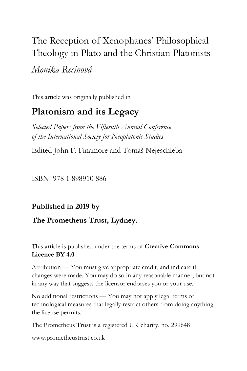# The Reception of Xenophanes' Philosophical Theology in Plato and the Christian Platonists

*Monika Recinová*

This article was originally published in

# **Platonism and its Legacy**

*Selected Papers from the Fifteenth Annual Conference of the International Society for Neoplatonic Studies*

Edited John F. Finamore and Tomáš Nejeschleba

ISBN 978 1 898910 886

**Published in 2019 by** 

### **The Prometheus Trust, Lydney.**

This article is published under the terms of **Creative Commons Licence BY 4.0**

Attribution — You must give appropriate credit, and indicate if changes were made. You may do so in any reasonable manner, but not in any way that suggests the licensor endorses you or your use.

No additional restrictions — You may not apply legal terms or technological measures that legally restrict others from doing anything the license permits.

The Prometheus Trust is a registered UK charity, no. 299648

[www.prometheustrust.co.uk](http://www.prometheustrust.co.uk/)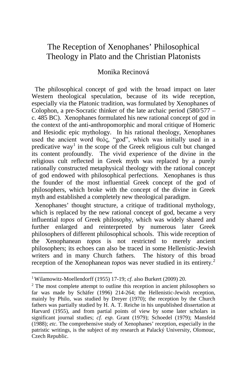## The Reception of Xenophanes' Philosophical Theology in Plato and the Christian Platonists

#### Monika Recinová

The philosophical concept of god with the broad impact on later Western theological speculation, because of its wide reception, especially via the Platonic tradition, was formulated by Xenophanes of Colophon, a pre-Socratic thinker of the late archaic period (580/577 – c. 485 BC). Xenophanes formulated his new rational concept of god in the context of the anti-anthropomorphic and moral critique of Homeric and Hesiodic epic mythology. In his rational theology, Xenophanes used the ancient word θεός, "god", which was initially used in a predicative way<sup>[1](#page-1-0)</sup> in the scope of the Greek religious cult but changed its content profoundly. The vivid experience of the divine in the religious cult reflected in Greek myth was replaced by a purely rationally constructed metaphysical theology with the rational concept of god endowed with philosophical perfections. Xenophanes is thus the founder of the most influential Greek concept of the god of philosophers, which broke with the concept of the divine in Greek myth and established a completely new theological paradigm.

 Xenophanes' thought structure, a critique of traditional mythology, which is replaced by the new rational concept of god, became a very influential *topos* of Greek philosophy, which was widely shared and further enlarged and reinterpreted by numerous later Greek philosophers of different philosophical schools. This wide reception of the Xenophanean *topos* is not restricted to merely ancient philosophers; its echoes can also be traced in some Hellenistic-Jewish writers and in many Church fathers. The history of this broad reception of the Xenophanean *topos* was never studied in its entirety.<sup>[2](#page-1-1)</sup>

<span id="page-1-0"></span><sup>&</sup>lt;sup>1</sup> Wilamowitz-Moellendorff (1955) 17-19; *cf*. also Burkert (2009) 20.<br><sup>2</sup> The most complete attempt to outline this reception in ancient philosophers so

<span id="page-1-1"></span>far was made by Schäfer (1996) 214-264; the Hellenistic-Jewish reception, mainly by Philo, was studied by Dreyer (1970); the reception by the Church fathers was partially studied by H. A. T. Reiche in his unpublished dissertation at Harvard (1955), and from partial points of view by some later scholars in significant journal studies; *cf. esp.* Grant (1979); Schoedel (1979); Mansfeld (1988); *etc*. The comprehensive study of Xenophanes' reception, especially in the patristic writings, is the subject of my research at Palacký University, Olomouc, Czech Republic.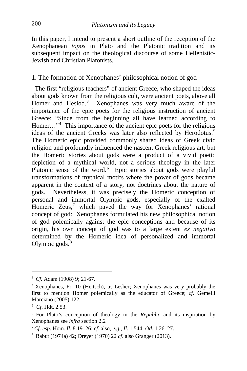In this paper, I intend to present a short outline of the reception of the Xenophanean *topos* in Plato and the Platonic tradition and its subsequent impact on the theological discourse of some Hellenistic-Jewish and Christian Platonists.

#### 1. The formation of Xenophanes' philosophical notion of god

 The first "religious teachers" of ancient Greece, who shaped the ideas about gods known from the religious cult, were ancient poets, above all Homer and Hesiod.<sup>[3](#page-2-0)</sup> Xenophanes was very much aware of the importance of the epic poets for the religious instruction of ancient Greece: "Since from the beginning all have learned according to Homer..."<sup>[4](#page-2-1)</sup> This importance of the ancient epic poets for the religious ideas of the ancient Greeks was later also reflected by Herodotus.<sup>[5](#page-2-2)</sup> The Homeric epic provided commonly shared ideas of Greek civic religion and profoundly influenced the nascent Greek religious art, but the Homeric stories about gods were a product of a vivid poetic depiction of a mythical world, not a serious theology in the later Platonic sense of the word.<sup>[6](#page-2-3)</sup> Epic stories about gods were playful transformations of mythical motifs where the power of gods became apparent in the context of a story, not doctrines about the nature of gods. Nevertheless, it was precisely the Homeric conception of personal and immortal Olympic gods, especially of the exalted Homeric Zeus,<sup>[7](#page-2-4)</sup> which paved the way for Xenophanes' rational concept of god: Xenophanes formulated his new philosophical notion of god polemically against the epic conceptions and because of its origin, his own concept of god was to a large extent *ex negativo* determined by the Homeric idea of personalized and immortal Olympic gods.<sup>[8](#page-2-5)</sup>

<span id="page-2-0"></span><sup>3</sup> *Cf.* Adam (1908) 9; 21-67.

<span id="page-2-1"></span><sup>4</sup> Xenophanes, Fr. 10 (Heitsch), tr. Lesher; Xenophanes was very probably the first to mention Homer polemically as the educator of Greece; *cf*. Gemelli Marciano (2005) 122.

<sup>5</sup> *Cf*. Hdt. 2.53.

<span id="page-2-3"></span><span id="page-2-2"></span><sup>6</sup> For Plato's conception of theology in the *Republic* and its inspiration by Xenophanes see *infra* section 2.2

<span id="page-2-4"></span><sup>7</sup> *Cf*. *esp*. Hom. *Il*. 8.19–26; *cf*. also, *e.g.*, *Il*. 1.544; *Od*. 1.26–27.

<span id="page-2-5"></span><sup>8</sup> Babut (1974a) 42; Dreyer (1970) 22 *cf*. also Granger (2013).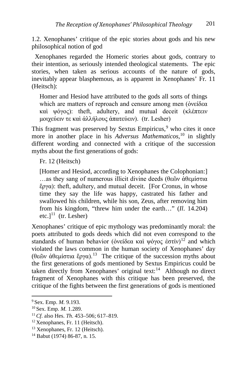1.2. Xenophanes' critique of the epic stories about gods and his new philosophical notion of god

 Xenophanes regarded the Homeric stories about gods, contrary to their intention, as seriously intended theological statements. The epic stories, when taken as serious accounts of the nature of gods, inevitably appear blasphemous, as is apparent in Xenophanes' Fr. 11 (Heitsch):

Homer and Hesiod have attributed to the gods all sorts of things which are matters of reproach and censure among men (ὀνείδεα καὶ ψόγος): theft, adultery, and mutual deceit (κλέπτειν μοιχεύειν τε καὶ ἀλλήλους ἀπατεύειν). (tr. Lesher)

This fragment was preserved by Sextus Empiricus, $9$  who cites it once more in another place in his *Adversus Mathematicos*, [10](#page-3-1) in slightly different wording and connected with a critique of the succession myths about the first generations of gods:

Fr. 12 (Heitsch)

[Homer and Hesiod, according to Xenophanes the Colophonian:] …as they sang of numerous illicit divine deeds (θεῶν ἀθεμίστια ἔργα): theft, adultery, and mutual deceit. [For Cronus, in whose time they say the life was happy, castrated his father and swallowed his children, while his son, Zeus, after removing him from his kingdom, "threw him under the earth…" (*Il*. 14.204) etc.] $11$  (tr. Lesher)

Xenophanes' critique of epic mythology was predominantly moral: the poets attributed to gods deeds which did not even correspond to the standards of human behavior (ὀνείδεα καὶ ψόγος ἐστίν)<sup>[12](#page-3-3)</sup> and which violated the laws common in the human society of Xenophanes' day (θεῶν ἀθεμίστια ἔργα).[13](#page-3-4) The critique of the succession myths about the first generations of gods mentioned by Sextus Empiricus could be taken directly from Xenophanes' original text:<sup>14</sup> Although no direct fragment of Xenophanes with this critique has been preserved, the critique of the fights between the first generations of gods is mentioned

<span id="page-3-1"></span><span id="page-3-0"></span><sup>9</sup> Sex. Emp. *M.* 9.193. 10 Sex. Emp. *M.* 1.289. 11 *Cf*. also Hes. *Th*. 453–506; 617–819.

<span id="page-3-3"></span><span id="page-3-2"></span><sup>12</sup> Xenophanes, Fr. 11 (Heitsch).

<span id="page-3-4"></span><sup>13</sup> Xenophanes, Fr. 12 (Heitsch).

<span id="page-3-5"></span><sup>14</sup> Babut (1974) 86-87, n. 15.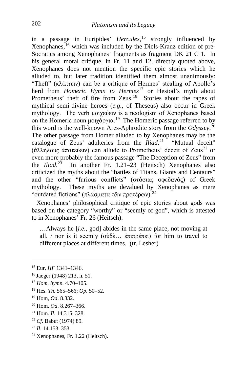in a passage in Euripides' *Hercules*, [15](#page-4-0) strongly influenced by Xenophanes,<sup>[16](#page-4-1)</sup> which was included by the Diels-Kranz edition of pre-Socratics among Xenophanes' fragments as fragment DK 21 C 1. In his general moral critique, in Fr. 11 and 12, directly quoted above, Xenophanes does not mention the specific epic stories which he alluded to, but later tradition identified them almost unanimously: "Theft" (κλέπτειν) can be a critique of Hermes' stealing of Apollo's herd from *Homeric Hymn to Hermes*[17](#page-4-2) or Hesiod's myth about Prometheus' theft of fire from Zeus.<sup>18</sup> Stories about the rapes of mythical semi-divine heroes (*e.g.*, of Theseus) also occur in Greek mythology. The verb μοιχεύειν is a neologism of Xenophanes based on the Homeric noun μοιχάργια.<sup>[19](#page-4-4)</sup> The Homeric passage referred to by this word is the well-known Ares-Aphrodite story from the *Odyssey*. [20](#page-4-5) The other passage from Homer alluded to by Xenophanes may be the catalogue of Zeus' adulteries from the *Iliad*. [21](#page-4-6) "Mutual deceit" (άλλήλους άπατεύειν) can allude to Prometheus' deceit of Zeus<sup>[22](#page-4-7)</sup> or even more probably the famous passage "The Deception of Zeus" from the *Iliad*. [23](#page-4-8) In another Fr. 1.21–23 (Heitsch) Xenophanes also criticized the myths about the "battles of Titans, Giants and Centaurs" and the other "furious conflicts" (στάσιας σφεδανάς) of Greek mythology. These myths are devalued by Xenophanes as mere "outdated fictions" (πλάσματα τῶν προτέρων).<sup>[24](#page-4-9)</sup>

 Xenophanes' philosophical critique of epic stories about gods was based on the category "worthy" or "seemly of god", which is attested to in Xenophanes' Fr. 26 (Heitsch):

…Always he [*i.e.*, god] abides in the same place, not moving at all, / nor is it seemly (οὐδὲ… ἐπιπρέπει) for him to travel to different places at different times. (tr. Lesher)

- <span id="page-4-5"></span><sup>20</sup> Hom. *Od*. 8.267–366.
- <span id="page-4-6"></span><sup>21</sup> Hom. *Il*. 14.315–328.
- <span id="page-4-7"></span><sup>22</sup> *Cf*. Babut (1974) 89.

<span id="page-4-0"></span><sup>15</sup> Eur. *HF* 1341–1346.

<span id="page-4-1"></span><sup>16</sup> Jaeger (1948) 213, n. 51.

<span id="page-4-2"></span><sup>17</sup> *Hom. hymn.* 4.70–105.

<span id="page-4-3"></span><sup>18</sup> Hes. *Th*. 565–566; *Op.* 50–52.

<span id="page-4-4"></span><sup>19</sup> Hom, *Od*. 8.332.

<span id="page-4-8"></span><sup>23</sup> *Il*. 14.153–353.

<span id="page-4-9"></span><sup>24</sup> Xenophanes, Fr. 1.22 (Heitsch).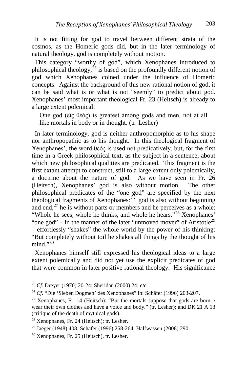It is not fitting for god to travel between different strata of the cosmos, as the Homeric gods did, but in the later terminology of natural theology, god is completely without motion.

 This category "worthy of god", which Xenophanes introduced to philosophical theology,<sup> $25$ </sup> is based on the profoundly different notion of god which Xenophanes coined under the influence of Homeric concepts. Against the background of this new rational notion of god, it can be said what is or what is not "seemly" to predict about god. Xenophanes' most important theological Fr. 23 (Heitsch) is already to a large extent polemical:

One god (εἵς θεός) is greatest among gods and men, not at all like mortals in body or in thought. (tr. Lesher)

 In later terminology, god is neither anthropomorphic as to his shape nor anthropopathic as to his thought. In this theological fragment of Xenophanes', the word θεός is used not predicatively, but, for the first time in a Greek philosophical text, as the subject in a sentence, about which new philosophical qualities are predicated. This fragment is the first extant attempt to construct, still to a large extent only polemically, a doctrine about the nature of god. As we have seen in Fr. 26 (Heitsch), Xenophanes' god is also without motion. The other philosophical predicates of the "one god" are specified by the next theological fragments of Xenophanes: $^{26}$  $^{26}$  $^{26}$  god is also without beginning and end, $^{27}$  $^{27}$  $^{27}$  he is without parts or members and he perceives as a whole: "Whole he sees, whole he thinks, and whole he hears."<sup>[28](#page-5-3)</sup> Xenophanes' "one god" – in the manner of the later "unmoved mover" of Aristotle<sup>[29](#page-5-4)</sup> – effortlessly "shakes" the whole world by the power of his thinking: "But completely without toil he shakes all things by the thought of his mind<sup>"[30](#page-5-5)</sup>

 Xenophanes himself still expressed his theological ideas to a large extent polemically and did not yet use the explicit predicates of god that were common in later positive rational theology. His significance

<span id="page-5-0"></span><sup>25</sup> *Cf*. Dreyer (1970) 20-24; Sheridan (2000) 24; *etc*.

<span id="page-5-1"></span><sup>26</sup> *Cf*. "Die 'Sieben Dogmen' des Xenophanes" in: Schäfer (1996) 203-207.

<span id="page-5-2"></span><sup>&</sup>lt;sup>27</sup> Xenophanes, Fr. 14 (Heitsch): "But the mortals suppose that gods are born,  $/$ wear their own clothes and have a voice and body." (tr. Lesher); and DK 21 A 13 (critique of the death of mythical gods).

<span id="page-5-3"></span><sup>28</sup> Xenophanes, Fr. 24 (Heitsch); tr. Lesher.

<span id="page-5-4"></span><sup>29</sup> Jaeger (1948) 408; Schäfer (1996) 258-264; Halfwassen (2008) 290.

<span id="page-5-5"></span><sup>30</sup> Xenophanes, Fr. 25 (Heitsch), tr. Lesher.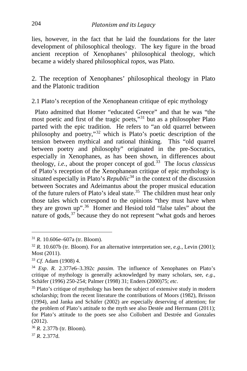lies, however, in the fact that he laid the foundations for the later development of philosophical theology. The key figure in the broad ancient reception of Xenophanes' philosophical theology, which became a widely shared philosophical *topos*, was Plato.

2. The reception of Xenophanes' philosophical theology in Plato and the Platonic tradition

2.1 Plato's reception of the Xenophanean critique of epic mythology

 Plato admitted that Homer "educated Greece" and that he was "the most poetic and first of the tragic poets,"[31](#page-6-0) but as a philosopher Plato parted with the epic tradition. He refers to "an old quarrel between philosophy and poetry,"[32](#page-6-1) which is Plato's poetic description of the tension between mythical and rational thinking. This "old quarrel between poetry and philosophy" originated in the pre-Socratics, especially in Xenophanes, as has been shown, in differences about theology, *i.e.*, about the proper concept of god.[33](#page-6-2) The *locus classicus* of Plato's reception of the Xenophanean critique of epic mythology is situated especially in Plato's *Republic*<sup>[34](#page-6-3)</sup> in the context of the discussion between Socrates and Adeimantus about the proper musical education of the future rulers of Plato's ideal state.<sup>[35](#page-6-4)</sup> The children must hear only those tales which correspond to the opinions "they must have when they are grown up".[36](#page-6-5) Homer and Hesiod told "false tales" about the nature of gods,  $37$  because they do not represent "what gods and heroes

<span id="page-6-1"></span><span id="page-6-0"></span><sup>&</sup>lt;sup>31</sup> *R*. 10.606e–607a (tr. Bloom).<br><sup>32</sup> *R*. 10.607b (tr. Bloom). For an alternative interpretation see, *e.g.*, Levin (2001); Most (2011).

<span id="page-6-2"></span><sup>33</sup> *Cf*. Adam (1908) 4.

<span id="page-6-3"></span><sup>34</sup> *Esp*. *R.* 2.377e6–3.392c *passim*. The influence of Xenophanes on Plato's critique of mythology is generally acknowledged by many scholars, see, *e.g.*, Schäfer (1996) 250-254; Palmer (1998) 31; Enders (2000)75; *etc*.

<span id="page-6-4"></span><sup>&</sup>lt;sup>35</sup> Plato's critique of mythology has been the subject of extensive study in modern scholarship; from the recent literature the contributions of Moors (1982), Brisson (1994), and Janka and Schäfer (2002) are especially deserving of attention; for the problem of Plato's attitude to the myth see also Destée and Herrmann (2011); for Plato's attitude to the poets see also Collobert and Destrée and Gonzales (2012).

<span id="page-6-5"></span><sup>36</sup> *R.* 2.377b (tr. Bloom).

<span id="page-6-6"></span><sup>37</sup> *R*. 2.377d.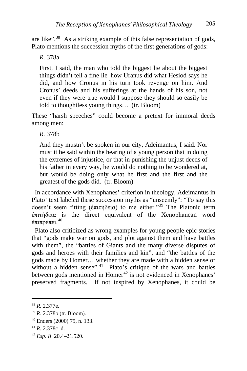are like".[38](#page-7-0) As a striking example of this false representation of gods, Plato mentions the succession myths of the first generations of gods:

*R.* 378a

First, I said, the man who told the biggest lie about the biggest things didn't tell a fine lie–how Uranus did what Hesiod says he did, and how Cronus in his turn took revenge on him. And Cronus' deeds and his sufferings at the hands of his son, not even if they were true would I suppose they should so easily be told to thoughtless young things… (tr. Bloom)

These "harsh speeches" could become a pretext for immoral deeds among men:

*R.* 378b

And they mustn't be spoken in our city, Adeimantus, I said. Nor must it be said within the hearing of a young person that in doing the extremes of injustice, or that in punishing the unjust deeds of his father in every way, he would do nothing to be wondered at, but would be doing only what he first and the first and the greatest of the gods did. (tr. Bloom)

 In accordance with Xenophanes' criterion in theology, Adeimantus in Plato' text labeled these succession myths as "unseemly": "To say this doesn't seem fitting (ἐπιτήδεια) to me either."[39](#page-7-1) The Platonic term ἐπιτήδεια is the direct equivalent of the Xenophanean word έπιπρέπει.<sup>[40](#page-7-2)</sup>

 Plato also criticized as wrong examples for young people epic stories that "gods make war on gods, and plot against them and have battles with them", the "battles of Giants and the many diverse disputes of gods and heroes with their families and kin", and "the battles of the gods made by Homer… whether they are made with a hidden sense or without a hidden sense".<sup>41</sup> Plato's critique of the wars and battles between gods mentioned in Homer<sup>[42](#page-7-4)</sup> is not evidenced in Xenophanes' preserved fragments. If not inspired by Xenophanes, it could be

<span id="page-7-0"></span><sup>38</sup> *R.* 2.377e.

<span id="page-7-1"></span><sup>39</sup> *R.* 2.378b (tr. Bloom).

<span id="page-7-2"></span><sup>40</sup> Enders (2000) 75, n. 133.

<span id="page-7-3"></span><sup>41</sup> *R.* 2.378c–d.

<span id="page-7-4"></span><sup>42</sup> *Esp*. *Il*. 20.4–21.520.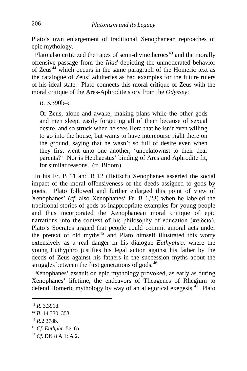Plato's own enlargement of traditional Xenophanean reproaches of epic mythology.

Plato also criticized the rapes of semi-divine heroes<sup> $43$ </sup> and the morally offensive passage from the *Iliad* depicting the unmoderated behavior of Zeus<sup>[44](#page-8-1)</sup> which occurs in the same paragraph of the Homeric text as the catalogue of Zeus' adulteries as bad examples for the future rulers of his ideal state. Plato connects this moral critique of Zeus with the moral critique of the Ares-Aphrodite story from the *Odyssey*:

*R.* 3.390b–c

Or Zeus, alone and awake, making plans while the other gods and men sleep, easily forgetting all of them because of sexual desire, and so struck when he sees Hera that he isn't even willing to go into the house, but wants to have intercourse right there on the ground, saying that he wasn't so full of desire even when they first went unto one another, 'unbeknownst to their dear parents?' Nor is Hephaestus' binding of Ares and Aphrodite fit, for similar reasons. (tr. Bloom)

 In his Fr. B 11 and B 12 (Heitsch) Xenophanes asserted the social impact of the moral offensiveness of the deeds assigned to gods by poets. Plato followed and further enlarged this point of view of Xenophanes' (*cf*. also Xenophanes' Fr. B 1,23) when he labeled the traditional stories of gods as inappropriate examples for young people and thus incorporated the Xenophanean moral critique of epic narrations into the context of his philosophy of education (παίδεια). Plato's Socrates argued that people could commit amoral acts under the pretext of old myths $45$  and Plato himself illustrated this worry extensively as a real danger in his dialogue *Euthyphro*, where the young Euthyphro justifies his legal action against his father by the deeds of Zeus against his fathers in the succession myths about the struggles between the first generations of gods.<sup>46</sup>

 Xenophanes' assault on epic mythology provoked, as early as during Xenophanes' lifetime, the endeavors of Theagenes of Rhegium to defend Homeric mythology by way of an allegorical exegesis. $47$  Plato

<span id="page-8-0"></span><sup>43</sup> *R.* 3.391d.

<span id="page-8-1"></span><sup>44</sup> *Il*. 14.330–353.

<span id="page-8-2"></span><sup>45</sup> *R.*2.378b.

<span id="page-8-3"></span><sup>46</sup> *Cf*. *Euthphr.* 5e–6a.

<span id="page-8-4"></span><sup>47</sup> *Cf*. DK 8 A 1; A 2.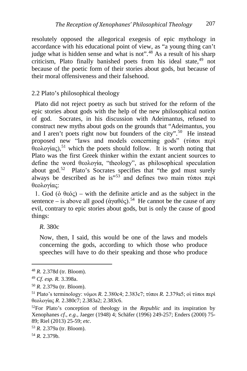resolutely opposed the allegorical exegesis of epic mythology in accordance with his educational point of view, as "a young thing can't judge what is hidden sense and what is not".<sup>[48](#page-9-0)</sup> As a result of his sharp criticism, Plato finally banished poets from his ideal state.<sup>[49](#page-9-1)</sup> not because of the poetic form of their stories about gods, but because of their moral offensiveness and their falsehood.

#### 2.2 Plato's philosophical theology

 Plato did not reject poetry as such but strived for the reform of the epic stories about gods with the help of the new philosophical notion of god. Socrates, in his discussion with Adeimantus, refused to construct new myths about gods on the grounds that "Adeimantus, you and I aren't poets right now but founders of the city".<sup>[50](#page-9-2)</sup> He instead proposed new "laws and models concerning gods" (τύποι περὶ θεολογίας),[51](#page-9-3) which the poets should follow. It is worth noting that Plato was the first Greek thinker within the extant ancient sources to define the word θεολογία, "theology", as philosophical speculation about god.<sup>52</sup> Plato's Socrates specifies that "the god must surely always be described as he is"<sup>[53](#page-9-5)</sup> and defines two main τύποι περί θεολογίας:

 1. God (ὁ θεός) – with the definite article and as the subject in the sentence – is above all good (άγαθός).<sup>[54](#page-9-6)</sup> He cannot be the cause of any evil, contrary to epic stories about gods, but is only the cause of good things:

*R.* 380c

Now, then, I said, this would be one of the laws and models concerning the gods, according to which those who produce speeches will have to do their speaking and those who produce

<span id="page-9-0"></span><sup>48</sup> *R.* 2.378d (tr. Bloom).

<span id="page-9-1"></span><sup>49</sup> *Cf. esp. R.* 3.398a.

<span id="page-9-2"></span><sup>50</sup> *R.* 2.379a (tr. Bloom).

<span id="page-9-3"></span><sup>51</sup> Plato's terminology: νόμοι *R.* 2.380c4; 2.383c7; τύποι *R.* 2.379a5; οἱ τύποι περὶ θεολογίας *R.* 2.380c7; 2.383a2; 2.383c6.

<span id="page-9-4"></span><sup>52</sup>For Plato's conception of theology in the *Republic* and its inspiration by Xenophanes *cf*.*, e.g.*, Jaeger (1948) 4; Schäfer (1996) 249-257; Enders (2000) 75- 89; Riel (2013) 25-59; *etc*.

<span id="page-9-5"></span><sup>53</sup> *R.* 2.379a (tr. Bloom).

<span id="page-9-6"></span><sup>54</sup> *R.* 2.379b.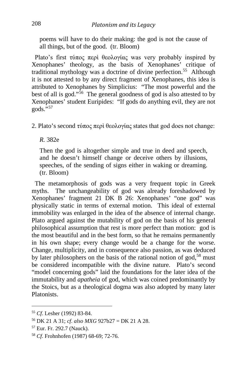poems will have to do their making: the god is not the cause of all things, but of the good. (tr. Bloom)

 Plato's first τύπος περὶ θεολογίας was very probably inspired by Xenophanes' theology, as the basis of Xenophanes' critique of traditional mythology was a doctrine of divine perfection.<sup>[55](#page-10-0)</sup> Although it is not attested to by any direct fragment of Xenophanes, this idea is attributed to Xenophanes by Simplicius: "The most powerful and the best of all is god."<sup>[56](#page-10-1)</sup> The general goodness of god is also attested to by Xenophanes' student Euripides: "If gods do anything evil, they are not  $gods.$ <sup>557</sup>

2. Plato's second τύπος περὶ θεολογίας states that god does not change:

*R.* 382e

Then the god is altogether simple and true in deed and speech, and he doesn't himself change or deceive others by illusions, speeches, of the sending of signs either in waking or dreaming. (tr. Bloom)

 The metamorphosis of gods was a very frequent topic in Greek myths. The unchangeability of god was already foreshadowed by Xenophanes' fragment 21 DK B 26: Xenophanes' "one god" was physically static in terms of external motion. This ideal of external immobility was enlarged in the idea of the absence of internal change. Plato argued against the mutability of god on the basis of his general philosophical assumption that rest is more perfect than motion: god is the most beautiful and in the best form, so that he remains permanently in his own shape; every change would be a change for the worse. Change, multiplicity, and in consequence also passion, as was deduced by later philosophers on the basis of the rational notion of god,<sup>[58](#page-10-3)</sup> must be considered incompatible with the divine nature. Plato's second "model concerning gods" laid the foundations for the later idea of the immutability and *apatheia* of god, which was coined predominantly by the Stoics, but as a theological dogma was also adopted by many later Platonists.

<span id="page-10-0"></span><sup>55</sup> *Cf*. Lesher (1992) 83-84.

<span id="page-10-1"></span><sup>56</sup> DK 21 A 31; *cf*. *also MXG* 927b27 = DK 21 A 28.

<span id="page-10-2"></span><sup>57</sup> Eur. Fr. 292.7 (Nauck).

<span id="page-10-3"></span><sup>58</sup> *Cf*. Frohnhofen (1987) 68-69; 72-76.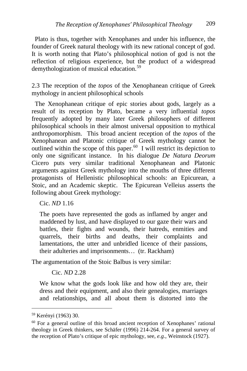Plato is thus, together with Xenophanes and under his influence, the founder of Greek natural theology with its new rational concept of god. It is worth noting that Plato's philosophical notion of god is not the reflection of religious experience, but the product of a widespread demythologization of musical education.[59](#page-11-0) 

2.3 The reception of the *topos* of the Xenophanean critique of Greek mythology in ancient philosophical schools

 The Xenophanean critique of epic stories about gods, largely as a result of its reception by Plato, became a very influential *topos* frequently adopted by many later Greek philosophers of different philosophical schools in their almost universal opposition to mythical anthropomorphism. This broad ancient reception of the *topos* of the Xenophanean and Platonic critique of Greek mythology cannot be outlined within the scope of this paper.<sup>[60](#page-11-1)</sup> I will restrict its depiction to only one significant instance. In his dialogue *De Natura Deorum*  Cicero puts very similar traditional Xenophanean and Platonic arguments against Greek mythology into the mouths of three different protagonists of Hellenistic philosophical schools: an Epicurean, a Stoic, and an Academic skeptic. The Epicurean Velleius asserts the following about Greek mythology:

Cic. *ND* 1.16

The poets have represented the gods as inflamed by anger and maddened by lust, and have displayed to our gaze their wars and battles, their fights and wounds, their hatreds, enmities and quarrels, their births and deaths, their complaints and lamentations, the utter and unbridled licence of their passions, their adulteries and imprisonments… (tr. Rackham)

The argumentation of the Stoic Balbus is very similar:

Cic. *ND* 2.28

We know what the gods look like and how old they are, their dress and their equipment, and also their genealogies, marriages and relationships, and all about them is distorted into the

<span id="page-11-0"></span><sup>59</sup> Kerényi (1963) 30.

<span id="page-11-1"></span><sup>60</sup> For a general outline of this broad ancient reception of Xenophanes' rational theology in Greek thinkers, see Schäfer (1996) 214-264. For a general survey of the reception of Plato's critique of epic mythology, see, *e.g.*, Weinstock (1927).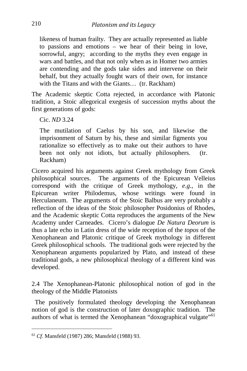likeness of human frailty. They are actually represented as liable to passions and emotions – we hear of their being in love, sorrowful, angry; according to the myths they even engage in wars and battles, and that not only when as in Homer two armies are contending and the gods take sides and intervene on their behalf, but they actually fought wars of their own, for instance with the Titans and with the Giants... (tr. Rackham)

The Academic skeptic Cotta rejected, in accordance with Platonic tradition, a Stoic allegorical exegesis of succession myths about the first generations of gods:

Cic. *ND* 3.24

The mutilation of Caelus by his son, and likewise the imprisonment of Saturn by his, these and similar figments you rationalize so effectively as to make out their authors to have been not only not idiots, but actually philosophers. (tr. Rackham)

Cicero acquired his arguments against Greek mythology from Greek philosophical sources. The arguments of the Epicurean Velleius correspond with the critique of Greek mythology, *e.g.*, in the Epicurean writer Philodemus, whose writings were found in Herculaneum. The arguments of the Stoic Balbus are very probably a reflection of the ideas of the Stoic philosopher Posidonius of Rhodes, and the Academic skeptic Cotta reproduces the arguments of the New Academy under Carneades. Cicero's dialogue *De Natura Deorum* is thus a late echo in Latin dress of the wide reception of the *topos* of the Xenophanean and Platonic critique of Greek mythology in different Greek philosophical schools. The traditional gods were rejected by the Xenophanean arguments popularized by Plato, and instead of these traditional gods, a new philosophical theology of a different kind was developed.

2.4 The Xenophanean-Platonic philosophical notion of god in the theology of the Middle Platonists

 The positively formulated theology developing the Xenophanean notion of god is the construction of later doxographic tradition. The authors of what is termed the Xenophanean "doxographical vulgate"<sup>[61](#page-12-0)</sup>

<span id="page-12-0"></span><sup>61</sup> *Cf*. Mansfeld (1987) 286; Mansfeld (1988) 93.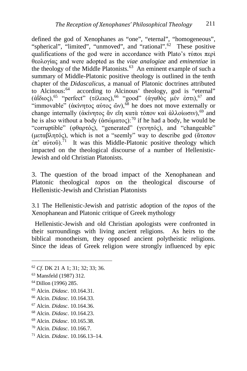defined the god of Xenophanes as "one", "eternal", "homogeneous", "spherical", "limited", "unmoved", and "rational".<sup>[62](#page-13-0)</sup> These positive qualifications of the god were in accordance with Plato's τύποι περὶ θεολογίας and were adopted as the *viae analogiae* and *eminentiae* in the theology of the Middle Platonists.<sup>63</sup> An eminent example of such a summary of Middle-Platonic positive theology is outlined in the tenth chapter of the *Didascalicus*, a manual of Platonic doctrines attributed to Alcinous:<sup>64</sup> according to Alcinous' theology, god is "eternal" ( $\alpha$ ΐδιος),<sup>[65](#page-13-3)</sup> "perfect" (τέλειος),<sup>[66](#page-13-4)</sup> "good" (άγαθὸς μέν ἐστι),<sup>[67](#page-13-5)</sup> and "immovable" (ἀκίνητος αὐτος ὤν),<sup>[68](#page-13-6)</sup> he does not move externally or change internally (ἀκίνητος ἄν εἴη κατὰ τόπον καὶ ἀλλοίωσιν),<sup>[69](#page-13-7)</sup> and he is also without a body (άσώματος):<sup>[70](#page-13-8)</sup> if he had a body, he would be "corruptible" (φθαρτός), "generated" (γενητός), and "changeable" (μεταβλητός), which is not a "seemly" way to describe god (ἄτοπον  $\vec{ε}$ π' αὐτοῦ).<sup>[71](#page-13-9)</sup> It was this Middle-Platonic positive theology which impacted on the theological discourse of a number of Hellenistic-Jewish and old Christian Platonists.

3. The question of the broad impact of the Xenophanean and Platonic theological *topos* on the theological discourse of Hellenistic-Jewish and Christian Platonists

3.1 The Hellenistic-Jewish and patristic adoption of the *topos* of the Xenophanean and Platonic critique of Greek mythology

 Hellenistic-Jewish and old Christian apologists were confronted in their surroundings with living ancient religions. As heirs to the biblical monotheism, they opposed ancient polytheistic religions. Since the ideas of Greek religion were strongly influenced by epic

<span id="page-13-0"></span><sup>62</sup> *Cf*. DK 21 A 1; 31; 32; 33; 36.

<span id="page-13-1"></span><sup>63</sup> Mansfeld (1987) 312.

<span id="page-13-2"></span><sup>64</sup> Dillon (1996) 285.

<span id="page-13-3"></span><sup>65</sup> Alcin. *Didasc*. 10.164.31.

<span id="page-13-4"></span><sup>66</sup> Alcin. *Didasc*. 10.164.33.

<span id="page-13-5"></span><sup>67</sup> Alcin. *Didasc*. 10.164.36.

<span id="page-13-6"></span><sup>68</sup> Alcin. *Didasc*. 10.164.23.

<span id="page-13-7"></span><sup>69</sup> Alcin. *Didasc*. 10.165.38.

<span id="page-13-8"></span><sup>70</sup> Alcin. *Didasc*. 10.166.7.

<span id="page-13-9"></span><sup>71</sup> Alcin. *Didasc*. 10.166.13–14.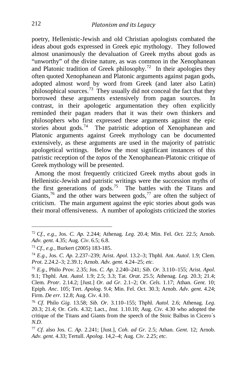poetry, Hellenistic-Jewish and old Christian apologists combated the ideas about gods expressed in Greek epic mythology. They followed almost unanimously the devaluation of Greek myths about gods as "unworthy" of the divine nature, as was common in the Xenophanean and Platonic tradition of Greek philosophy.<sup>[72](#page-14-0)</sup> In their apologies they often quoted Xenophanean and Platonic arguments against pagan gods, adopted almost word by word from Greek (and later also Latin) philosophical sources.[73](#page-14-1) They usually did not conceal the fact that they borrowed these arguments extensively from pagan sources. In contrast, in their apologetic argumentation they often explicitly reminded their pagan readers that it was their own thinkers and philosophers who first expressed these arguments against the epic stories about gods.<sup>[74](#page-14-2)</sup> The patristic adoption of Xenophanean and Platonic arguments against Greek mythology can be documented extensively, as these arguments are used in the majority of patristic apologetical writings. Below the most significant instances of this patristic reception of the *topos* of the Xenophanean-Platonic critique of Greek mythology will be presented.

 Among the most frequently criticized Greek myths about gods in Hellenistic-Jewish and patristic writings were the succession myths of the first generations of gods.[75](#page-14-3) The battles with the Titans and Giants,<sup>[76](#page-14-4)</sup> and the other wars between gods,<sup>[77](#page-14-5)</sup> are often the subject of criticism. The main argument against the epic stories about gods was their moral offensiveness. A number of apologists criticized the stories

i,

<span id="page-14-0"></span><sup>72</sup> C*f.*, *e.g.*, Jos. *C. Ap.* 2.244; Athenag. *Leg*. 20.4; Min. Fel. *Oct.* 22.5; Arnob. *Adv. gent.* 4.35; Aug. *Civ*. 6.5; 6.8.

<span id="page-14-1"></span><sup>73</sup> *Cf.*, *e.g.*, Burkert (2005) 183-185.

<span id="page-14-2"></span><sup>74</sup> *E.g.*, Jos. *C. Ap.* 2.237–239; Arist. *Apol*. 13.2–3; Thphl. Ant. *Autol*. 1.9; Clem. *Prot*. 2.24.2–3; 2.39.1; Arnob. *Adv. gent.* 4.24–25; *etc*.

<span id="page-14-3"></span><sup>75</sup> *E.g.*, Philo *Prov.* 2.35; Jos. *C. Ap.* 2.240–241; *Sib. Or.* 3.110–155; Arist. *Apol*. 9.1; Thphl. Ant. *Autol.* 1.9; 2.5; 3.3; Tat. *Orat*. 25.5; Athenag. *Leg.* 20.3; 21.4; Clem. *Protr*. 2.14.2; [Just.] *Or. ad Gr*. 2.1–2; Or. *Cels.* 1.17; Athan. *Gent*. 10; Epiph. *Anc*. 105; Tert. *Apolog*. 9.4; Min. Fel. *Oct*. 30.3; Arnob. *Adv. gent.* 4.24; Firm. *De err.* 12.8; Aug. *Civ*. 4.10.

<span id="page-14-4"></span><sup>76</sup> *Cf*. Philo *Gig*. 13.58; *Sib. Or.* 3.110–155; Thphl. *Autol.* 2.6; Athenag. *Leg*. 20.3; 21.4; Or. *Cels*. 4.32; Lact., *Inst.* 1.10.10; Aug. *Civ*. 4.30 who adopted the critique of the Titans and Giants from the speech of the Stoic Balbus in Cicero´s *N.D.*

<span id="page-14-5"></span><sup>77</sup> *Cf*. also Jos. *C. Ap*. 2.241; [Just.], *Coh. ad Gr.* 2.5; Athan. *Gent*. 12; Arnob. *Adv. gent.* 4.33; Tertull. *Apolog*. 14,2–4; Aug. *Civ*. 2.25; *etc.*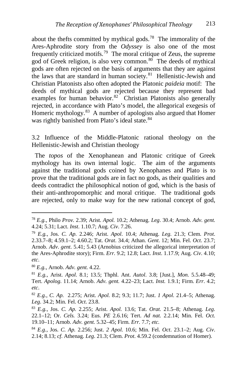about the thefts committed by mythical gods.<sup>[78](#page-15-0)</sup> The immorality of the Ares-Aphrodite story from the *Odyssey* is also one of the most frequently criticized motifs.<sup>[79](#page-15-1)</sup> The moral critique of Zeus, the supreme god of Greek religion, is also very common.<sup>80</sup> The deeds of mythical gods are often rejected on the basis of arguments that they are against the laws that are standard in human society.<sup>81</sup> Hellenistic-Jewish and Christian Platonists also often adopted the Platonic *paideia* motif: The deeds of mythical gods are rejected because they represent bad examples for human behavior. $82^{6}$  Christian Platonists also generally rejected, in accordance with Plato's model, the allegorical exegesis of Homeric mythology.<sup>83</sup> A number of apologists also argued that Homer was rightly banished from Plato's ideal state.<sup>[84](#page-15-6)</sup>

3.2 Influence of the Middle-Platonic rational theology on the Hellenistic-Jewish and Christian theology

 The *topos* of the Xenophanean and Platonic critique of Greek mythology has its own internal logic. The aim of the arguments against the traditional gods coined by Xenophanes and Plato is to prove that the traditional gods are in fact no gods, as their qualities and deeds contradict the philosophical notion of god, which is the basis of their anti-anthropomorphic and moral critique. The traditional gods are rejected, only to make way for the new rational concept of god,

<span id="page-15-0"></span><sup>78</sup> *E.g.*, Philo *Prov.* 2.39; Arist. *Apol.* 10.2; Athenag. *Leg*. 30.4; Arnob. *Adv. gent.*  4.24; 5.31; Lact. *Inst*. 1.10.7; Aug. *Civ*. 7.26.

<span id="page-15-1"></span><sup>79</sup> *E.g.*, Jos. *C. Ap.* 2.246; Arist. *Apol*. 10.4; Athenag. *Leg.* 21.3; Clem. *Prot*. 2.33.7–8; 4.59.1–2; 4.60.2; Tat. *Orat*. 34.4; Athan. *Gent*. 12; Min. Fel. *Oct*. 23.7; Arnob. *Adv*. *gent*. 5.41; 5.43 (Arnobius criticized the allegorical interpretation of the Ares-Aphrodite story); Firm. *Err.* 9.2; 12.8; Lact. *Inst*. 1.17.9; Aug. *Civ*. 4.10; *etc*.

<span id="page-15-2"></span><sup>80</sup> *E.g.*, Arnob. *Adv. gent.* 4.22.

<span id="page-15-3"></span><sup>81</sup> *E.g.,* Arist. *Apol*. 8.1; 13.5; Thphl. Ant. *Autol*. 3.8; [Just.], *Mon.* 5.5.48–49; Tert. *Apolog*. 11.14; Arnob. *Adv. gent.* 4.22–23; Lact. *Inst.* 1.9.1; Firm. *Err*. 4.2; *etc*.

<span id="page-15-4"></span><sup>82</sup> *E.g.*, *C. Ap.* 2.275; Arist. *Apol.* 8.2; 9.3; 11.7; Just. *1 Apol.* 21.4–5; Athenag. *Leg*. 34.2; Min. Fel. *Oct*. 23.8.

<span id="page-15-5"></span><sup>83</sup> *E.g.*, Jos. *C. Ap.* 2.255; Arist. *Apol.* 13.6; Tat. *Orat.* 21.5–8; Athenag. *Leg.* 22.1–12; Or. *Cels.* 3.24; Eus. *PE* 2.6.16; Tert. *Ad nat.* 2.2.14; Min. Fel. *Oct.* 19.10–11; Arnob. *Adv. gent.* 5.32–45; Firm. *Err.* 7.7; *etc.*

<span id="page-15-6"></span><sup>84</sup> *E.g.*, Jos. *C. Ap.* 2.256; Just. *2 Apol.* 10.6; Min. Fel. *Oct*. 23.1–2; Aug. *Civ*. 2.14; 8.13; *cf*. Athenag. *Leg*. 21.3; Clem. *Prot*. 4.59.2 (condemnation of Homer).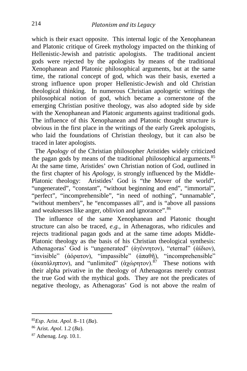which is their exact opposite. This internal logic of the Xenophanean and Platonic critique of Greek mythology impacted on the thinking of Hellenistic-Jewish and patristic apologists. The traditional ancient gods were rejected by the apologists by means of the traditional Xenophanean and Platonic philosophical arguments, but at the same time, the rational concept of god, which was their basis, exerted a strong influence upon proper Hellenistic-Jewish and old Christian theological thinking. In numerous Christian apologetic writings the philosophical notion of god, which became a cornerstone of the emerging Christian positive theology, was also adopted side by side with the Xenophanean and Platonic arguments against traditional gods. The influence of this Xenophanean and Platonic thought structure is obvious in the first place in the writings of the early Greek apologists, who laid the foundations of Christian theology, but it can also be traced in later apologists.

 The *Apology* of the Christian philosopher Aristides widely criticized the pagan gods by means of the traditional philosophical arguments.<sup>[85](#page-16-0)</sup> At the same time, Aristides' own Christian notion of God, outlined in the first chapter of his *Apology*, is strongly influenced by the Middle-Platonic theology: Aristides' God is "the Mover of the world", "ungenerated", "constant", "without beginning and end", "immortal", "perfect", "incomprehensible", "in need of nothing", "unnamable", "without members", he "encompasses all", and is "above all passions" and weaknesses like anger, oblivion and ignorance".<sup>[86](#page-16-1)</sup>

The influence of the same Xenophanean and Platonic thought structure can also be traced, *e.g.*, in Athenagoras, who ridicules and rejects traditional pagan gods and at the same time adopts Middle-Platonic theology as the basis of his Christian theological synthesis: Athenagoras' God is "ungenerated" (ἀγέννητον), "eternal" (ἀίδιον), "invisible" (ἀόρατον), "impassible" (ἀπαθῆ), "incomprehensible" (ἀκατάληπτον), and "unlimited" (ἀχώρητον).<sup>[87](#page-16-2)</sup> These notions with their alpha privative in the theology of Athenagoras merely contrast the true God with the mythical gods. They are not the predicates of negative theology, as Athenagoras' God is not above the realm of

<span id="page-16-0"></span><sup>85</sup>*Esp*. Arist. *Apol*. 8–11 (*Ba*).

<span id="page-16-1"></span><sup>86</sup> Arist. *Apol*. 1.2 (*Ba*).

<span id="page-16-2"></span><sup>87</sup> Athenag. *Leg*. 10.1.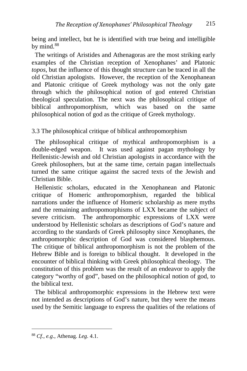being and intellect, but he is identified with true being and intelligible by mind. $88$ 

 The writings of Aristides and Athenagoras are the most striking early examples of the Christian reception of Xenophanes' and Platonic *topos*, but the influence of this thought structure can be traced in all the old Christian apologists. However, the reception of the Xenophanean and Platonic critique of Greek mythology was not the only gate through which the philosophical notion of god entered Christian theological speculation. The next was the philosophical critique of biblical anthropomorphism, which was based on the same philosophical notion of god as the critique of Greek mythology.

3.3 The philosophical critique of biblical anthropomorphism

 The philosophical critique of mythical anthropomorphism is a double-edged weapon. It was used against pagan mythology by Hellenistic-Jewish and old Christian apologists in accordance with the Greek philosophers, but at the same time, certain pagan intellectuals turned the same critique against the sacred texts of the Jewish and Christian Bible.

 Hellenistic scholars, educated in the Xenophanean and Platonic critique of Homeric anthropomorphism, regarded the biblical narrations under the influence of Homeric scholarship as mere myths and the remaining anthropomorphisms of LXX became the subject of severe criticism. The anthropomorphic expressions of LXX were understood by Hellenistic scholars as descriptions of God's nature and according to the standards of Greek philosophy since Xenophanes, the anthropomorphic description of God was considered blasphemous. The critique of biblical anthropomorphism is not the problem of the Hebrew Bible and is foreign to biblical thought. It developed in the encounter of biblical thinking with Greek philosophical theology. The constitution of this problem was the result of an endeavor to apply the category "worthy of god", based on the philosophical notion of god, to the biblical text.

 The biblical anthropomorphic expressions in the Hebrew text were not intended as descriptions of God's nature, but they were the means used by the Semitic language to express the qualities of the relations of

<span id="page-17-0"></span><sup>88</sup> *Cf.*, *e.g*., Athenag. *Leg*. 4.1.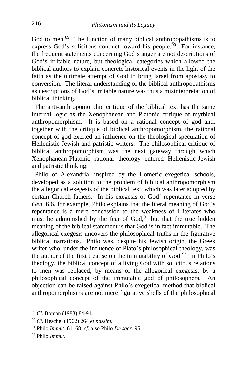God to men.<sup>[89](#page-18-0)</sup> The function of many biblical anthropopathisms is to express God's solicitous conduct toward his people. $90$  For instance, the frequent statements concerning God's anger are not descriptions of God's irritable nature, but theological categories which allowed the biblical authors to explain concrete historical events in the light of the faith as the ultimate attempt of God to bring Israel from apostasy to conversion. The literal understanding of the biblical anthropopathisms as descriptions of God's irritable nature was thus a misinterpretation of biblical thinking.

 The anti-anthropomorphic critique of the biblical text has the same internal logic as the Xenophanean and Platonic critique of mythical anthropomorphism. It is based on a rational concept of god and, together with the critique of biblical anthropomorphism, the rational concept of god exerted an influence on the theological speculation of Hellenistic-Jewish and patristic writers. The philosophical critique of biblical anthropomorphism was the next gateway through which Xenophanean-Platonic rational theology entered Hellenistic-Jewish and patristic thinking.

 Philo of Alexandria, inspired by the Homeric exegetical schools, developed as a solution to the problem of biblical anthropomorphism the allegorical exegesis of the biblical text, which was later adopted by certain Church fathers. In his exegesis of God' repentance in verse *Gen.* 6.6, for example, Philo explains that the literal meaning of God's repentance is a mere concession to the weakness of illiterates who must be admonished by the fear of God,<sup>[91](#page-18-2)</sup> but that the true hidden meaning of the biblical statement is that God is in fact immutable. The allegorical exegesis uncovers the philosophical truths in the figurative biblical narrations. Philo was, despite his Jewish origin, the Greek writer who, under the influence of Plato's philosophical theology, was the author of the first treatise on the immutability of God.<sup>92</sup> In Philo's theology, the biblical concept of a living God with solicitous relations to men was replaced, by means of the allegorical exegesis, by a philosophical concept of the immutable god of philosophers. An objection can be raised against Philo's exegetical method that biblical anthropomorphisms are not mere figurative shells of the philosophical

<span id="page-18-0"></span><sup>89</sup> *Cf*. Boman (1983) 84-91.

<span id="page-18-1"></span><sup>90</sup> *Cf*. Heschel (1962) 264 *et passim*.

<span id="page-18-2"></span><sup>91</sup> Philo *Immut*. 61–68; *cf*. also Philo *De sacr.* 95.

<span id="page-18-3"></span><sup>92</sup> Philo *Immut*.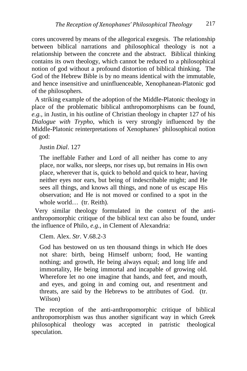cores uncovered by means of the allegorical exegesis. The relationship between biblical narrations and philosophical theology is not a relationship between the concrete and the abstract. Biblical thinking contains its own theology, which cannot be reduced to a philosophical notion of god without a profound distortion of biblical thinking. The God of the Hebrew Bible is by no means identical with the immutable, and hence insensitive and uninfluenceable, Xenophanean-Platonic god of the philosophers.

 A striking example of the adoption of the Middle-Platonic theology in place of the problematic biblical anthropomorphisms can be found, *e.g.*, in Justin, in his outline of Christian theology in chapter 127 of his *Dialogue with Trypho*, which is very strongly influenced by the Middle-Platonic reinterpretations of Xenophanes' philosophical notion of god:

Justin *Dial*. 127

The ineffable Father and Lord of all neither has come to any place, nor walks, nor sleeps, nor rises up, but remains in His own place, wherever that is, quick to behold and quick to hear, having neither eyes nor ears, but being of indescribable might; and He sees all things, and knows all things, and none of us escape His observation; and He is not moved or confined to a spot in the whole world… (tr. Reith).

 Very similar theology formulated in the context of the antianthropomorphic critique of the biblical text can also be found, under the influence of Philo, *e.g.*, in Clement of Alexandria:

Clem. Alex. *Str*. V.68.2-3

God has bestowed on us ten thousand things in which He does not share: birth, being Himself unborn; food, He wanting nothing; and growth, He being always equal; and long life and immortality, He being immortal and incapable of growing old. Wherefore let no one imagine that hands, and feet, and mouth, and eyes, and going in and coming out, and resentment and threats, are said by the Hebrews to be attributes of God. (tr. Wilson)

 The reception of the anti-anthropomorphic critique of biblical anthropomorphism was thus another significant way in which Greek philosophical theology was accepted in patristic theological speculation.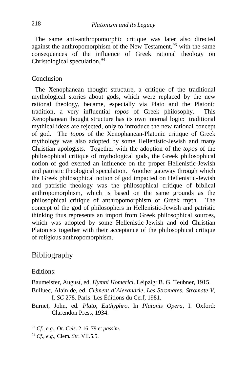The same anti-anthropomorphic critique was later also directed against the anthropomorphism of the New Testament,  $93$  with the same consequences of the influence of Greek rational theology on Christological speculation.<sup>[94](#page-20-1)</sup>

#### Conclusion

 The Xenophanean thought structure, a critique of the traditional mythological stories about gods, which were replaced by the new rational theology, became, especially via Plato and the Platonic tradition, a very influential *topos* of Greek philosophy. This Xenophanean thought structure has its own internal logic: traditional mythical ideas are rejected, only to introduce the new rational concept of god. The *topos* of the Xenophanean-Platonic critique of Greek mythology was also adopted by some Hellenistic-Jewish and many Christian apologists. Together with the adoption of the *topos* of the philosophical critique of mythological gods, the Greek philosophical notion of god exerted an influence on the proper Hellenistic-Jewish and patristic theological speculation. Another gateway through which the Greek philosophical notion of god impacted on Hellenistic-Jewish and patristic theology was the philosophical critique of biblical anthropomorphism, which is based on the same grounds as the philosophical critique of anthropomorphism of Greek myth. The concept of the god of philosophers in Hellenistic-Jewish and patristic thinking thus represents an import from Greek philosophical sources, which was adopted by some Hellenistic-Jewish and old Christian Platonists together with their acceptance of the philosophical critique of religious anthropomorphism.

### Bibliography

Editions:

Baumeister, August, ed. *Hymni Homerici*. Leipzig: B. G. Teubner, 1915.

Bulluec, Alain de, ed. *Clément d´Alexandrie, Les Stromates: Stromate V*, I. *SC* 278. Paris: Les Éditions du Cerf, 1981.

Burnet, John, ed. *Plato, Euthyphro*. In *Platonis Opera*, I. Oxford: Clarendon Press, 1934.

<span id="page-20-0"></span><sup>93</sup> *Cf.*, *e.g.*, Or. *Cels*. 2.16–79 et *passim.*

<span id="page-20-1"></span><sup>94</sup> *Cf.*, *e.g.*, Clem. *Str*. VII.5.5.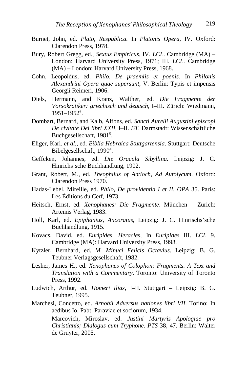- Burnet, John, ed. *Plato, Respublica.* In *Platonis Opera*, IV. Oxford: Clarendon Press, 1978.
- Bury, Robert Gregg, ed., *Sextus Empiricus*, IV. *LCL*. Cambridge (MA) London: Harvard University Press, 1971; III. *LCL*. Cambridge (MA) – London: Harvard University Press, 1968.
- Cohn, Leopoldus, ed. *Philo, De praemiis et poenis.* In *Philonis Alexandrini Opera quae supersunt*, V. Berlin: Typis et impensis Georgii Reimeri, 1906.
- Diels, Hermann, and Kranz, Walther, ed. *Die Fragmente der Vorsokratiker: griechisch und deutsch*, I–III. Zürich: Wiedmann, 1951–19526 .
- Dombart, Bernard, and Kalb, Alfons, ed. *Sancti Aurelii Augustini episcopi De civitate Dei libri XXII*, I–II. *BT*. Darmstadt: Wissenschaftliche Buchgesellschaft, 1981<sup>5</sup>.
- Eliger, Karl. *et al.*, ed. *Biblia Hebraica Stuttgartensia*. Stuttgart: Deutsche Bibelgesellschaft, 1990<sup>4</sup>.
- Geffcken, Johannes, ed. *Die Oracula Sibyllina*. Leipzig: J. C. Hinrichs'sche Buchhandlung, 1902.
- Grant, Robert, M., ed. *Theophilus of Antioch, Ad Autolycum*. Oxford: Clarendon Press 1970.
- Hadas-Lebel, Mireille, ed. *Philo, De providentia I et II. OPA* 35. Paris: Les Éditions du Cerf, 1973.
- Heitsch, Ernst, ed. *Xenophanes: Die Fragmente*. München Zürich: Artemis Verlag, 1983.
- Holl, Karl, ed. *Epiphanius, Ancoratus*, Leipzig: J. C. Hinrischs'sche Buchhandlung, 1915.
- Kovacs, David, ed. *Euripides, Heracles*, In *Euripides* III. *LCL* 9. Cambridge (MA): Harvard University Press, 1998.
- Kytzler, Bernhard, ed. *M. Minuci Felicis Octavius*. Leipzig: B. G. Teubner Verlagsgesellschaft, 1982.
- Lesher, James H., ed. *Xenophanes of Colophon: Fragments. A Text and Translation with a Commentary*. Toronto: University of Toronto Press, 1992.
- Ludwich, Arthur, ed. *Homeri Ilias*, I–II. Stuttgart Leipzig: B. G. Teubner, 1995.
- Marchesi, Concetto, ed. *Arnobii Adversus nationes libri VII*. Torino: In aedibus Io. Pabt. Paraviae et sociorum, 1934. Marcovich, Miroslav, ed. *Justini Martyris Apologiae pro Christianis; Dialogus cum Tryphone*. *PTS* 38, 47. Berlin: Walter de Gruyter, 2005.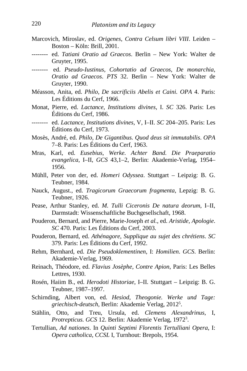- Marcovich, Miroslav, ed. *Origenes*, *Contra Celsum libri VIII*. Leiden Boston – Köln: Brill, 2001.
- -------- ed. *Tatiani Oratio ad Graecos*. Berlin New York: Walter de Gruyter, 1995.
- -------- ed. *Pseudo-Iustinus, Cohortatio ad Graecos, De monarchia, Oratio ad Graecos*. *PTS* 32. Berlin – New York: Walter de Gruyter, 1990.
- Méasson, Anita, ed. *Philo, De sacrificiis Abelis et Caini. OPA* 4. Paris: Les Éditions du Cerf, 1966.
- Monat, Pierre, ed. *Lactance*, *Institutions divines*, I. *SC* 326. Paris: Les Éditions du Cerf, 1986.
- -------- ed. *Lactance, Institutions divines*, V, I–II. *SC* 204–205. Paris: Les Éditions du Cerf, 1973.
- Mosès, André, ed. *Philo, De Gigantibus. Quod deus sit immutabilis*. *OPA*  7–8. Paris: Les Éditions du Cerf, 1963.
- Mras, Karl, ed. *Eusebius*, *Werke. Achter Band. Die Praeparatio evangelica*, I–II, *GCS* 43,1–2, Berlin: Akademie-Verlag, 1954– 1956.
- Mühll, Peter von der, ed. *Homeri Odyssea*. Stuttgart Leipzig: B. G. Teubner, 1984.
- Nauck, August., ed. *Tragicorum Graecorum fragmenta*, Lepzig: B. G. Teubner, 1926.
- Pease, Arthur Stanley, ed. *M. Tulli Ciceronis De natura deorum*, I–II, Darmstadt: Wissenschaftliche Buchgesellschaft, 1968.
- Pouderon, Bernard, and Pierre, Marie-Joseph *et al.*, ed. *Aristide, Apologie*. *SC* 470. Paris: Les Éditions du Cerf, 2003.
- Pouderon, Bernard, ed. *Athénagore, Supplique au sujet des chrétiens*. *SC* 379. Paris: Les Éditions du Cerf, 1992.
- Rehm, Bernhard, ed. *Die Pseudoklementinen*, I: *Homilien*. *GCS*. Berlin: Akademie-Verlag, 1969.
- Reinach, Théodore, ed. *Flavius Josèphe, Contre Apion*, Paris: Les Belles Lettres, 1930.
- Rosén, Haiim B., ed. *Herodoti Historiae*, I–II. Stuttgart Leipzig: B. G. Teubner, 1987–1997.
- Schirnding, Albert von, ed. *Hesiod*, *Theogonie. Werke und Tage: griechisch-deutsch*, Berlin: Akademie Verlag, 20125 .
- Stählin, Otto, and Treu, Ursula, ed. *Clemens Alexandrinus*, I, *Protrepticus. GCS* 12. Berlin: Akademie Verlag, 19723 .
- Tertullian, *Ad nationes*. In *Quinti Septimi Florentis Tertulliani Opera*, I: *Opera catholica*, *CCSL* I, Turnhout: Brepols, 1954.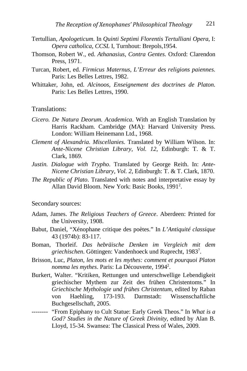- Tertullian, *Apologeticum*. In *Quinti Septimi Florentis Tertulliani Opera*, I: *Opera catholica*, *CCSL* I, Turnhout: Brepols,1954.
- Thomson, Robert W., ed. *Athanasius, Contra Gentes*. Oxford: Clarendon Press, 1971.
- Turcan, Robert, ed. *Firmicus Maternus, L'Erreur des religions paiennes*. Paris: Les Belles Lettres, 1982.
- Whittaker, John, ed. *Alcinoos, Enseignement des doctrines de Platon*. Paris: Les Belles Lettres, 1990.

Translations:

- *Cicero. De Natura Deorum. Academica*. With an English Translation by Harris Rackham. Cambridge (MA): Harvard University Press. London: William Heinemann Ltd., 1968.
- *Clement of Alexandria. Miscellanies*. Translated by William Wilson. In: *Ante-Nicene Christian Library, Vol. 12*, Edinburgh: T. & T. Clark, 1869.
- *Justin. Dialogue with Trypho*. Translated by George Reith. In: *Ante-Nicene Christian Library, Vol. 2*, Edinburgh: T. & T. Clark, 1870.
- *The Republic of Plato*. Translated with notes and interpretative essay by Allan David Bloom. New York: Basic Books, 19912 .

Secondary sources:

- Adam, James. *The Religious Teachers of Greece*. Aberdeen: Printed for the University, 1908.
- Babut, Daniel, "Xénophane critique des poètes." In *L'Antiquité classique* 43 (1974b): 83-117.
- Boman, Thorleif. *Das hebräische Denken im Vergleich mit dem griechischen*. Göttingen: Vandenhoeck und Ruprecht, 19837 .
- Brisson, Luc, *Platon, les mots et les mythes: comment et pourquoi Platon nomma les mythes*. Paris: La Découverte, 19942 .
- Burkert, Walter. "Kritiken, Rettungen und unterschwellige Lebendigkeit griechischer Mythem zur Zeit des frühen Christentoms." In *Griechische Mythologie und frühes Christentum*, edited by Raban von Haehling, 173-193. Darmstadt: Wissenschaftliche Buchgesellschaft, 2005.
- -------- "From Epiphany to Cult Statue: Early Greek Theos." In *What is a God? Studies in the Nature of Greek Divinity*, edited by Alan B. Lloyd, 15-34. Swansea: The Classical Press of Wales, 2009.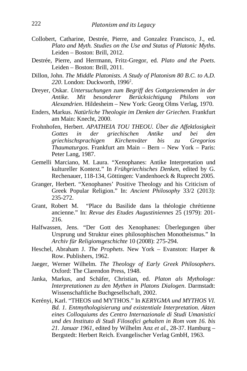- Collobert, Catharine, Destrée, Pierre, and Gonzalez Francisco, J., ed. *Plato and Myth. Studies on the Use and Status of Platonic Myths*. Leiden – Boston: Brill, 2012.
- Destrée, Pierre, and Herrmann, Fritz-Gregor, ed. *Plato and the Poets*. Leiden – Boston: Brill, 2011.
- Dillon, John. *The Middle Platonists. A Study of Platonism 80 B.C. to A.D.*  220. London: Duckworth, 1996<sup>2</sup>.
- Dreyer, Oskar. *Untersuchungen zum Begriff des Gottgeziemenden in der Mit besonderer Berücksichtigung Alexandrien*. Hildesheim – New York: Georg Olms Verlag, 1970.
- Enders, Markus. *Natürliche Theologie im Denken der Griechen*. Frankfurt am Main: Knecht, 2000.
- Frohnhofen, Herbert. *APATHEIA TOU THEOU. Über die Affektlosigkeit Gottes in der griechischen Antike und bei den griechischsprachigen Kirchenväter bis zu Gregorios Thaumaturgos*. Frankfurt am Main – Bern – New York – Paris: Peter Lang, 1987.
- Gemelli Marciano, M. Laura. "Xenophanes: Antike Interpretation und kultureller Kontext." In *Frühgriechisches Denken*, edited by G. Rechenauer, 118-134, Göttingen: Vandenhoeck & Ruprecht 2005.
- Granger, Herbert. "Xenophanes' Positive Theology and his Criticism of Greek Popular Religion." In: *Ancient Philosophy* 33/2 (2013): 235-272.
- Grant, Robert M. "Place du Basilide dans la théologie chrétienne ancienne." In: *Revue des Etudes Augustiniennes* 25 (1979): 201- 216.
- Halfwassen, Jens. "Der Gott des Xenophanes: Überlegungen über Ursprung und Struktur eines philosophischen Monotheismus." In *Archiv für Religionsgeschichte* 10 (2008): 275-294.
- Heschel, Abraham J. *The Prophets*. New York Evanston: Harper & Row. Publishers, 1962.
- Jaeger, Werner Wilhelm. *The Theology of Early Greek Philosophers*. Oxford: The Clarendon Press, 1948.
- Janka, Markus, and Schäfer, Christian, ed. *Platon als Mythologe: Interpretationen zu den Mythen in Platons Dialogen*. Darmstadt: Wissenschaftliche Buchgesellschaft, 2002.
- Kerényi, Karl. "THEOS und MYTHOS." In *KERYGMA und MYTHOS VI. Bd. 1. Entmythologisierung und existentiale Interpretation. Akten eines Colloquiums des Centro Internazionale di Studi Umanistici und des Instituto di Studi Filosofici gehalten in Rom vom 16. bis 21. Januar 1961*, edited by Wilhelm Anz *et al*., 28-37. Hamburg – Bergstedt: Herbert Reich. Evangelischer Verlag GmbH, 1963.